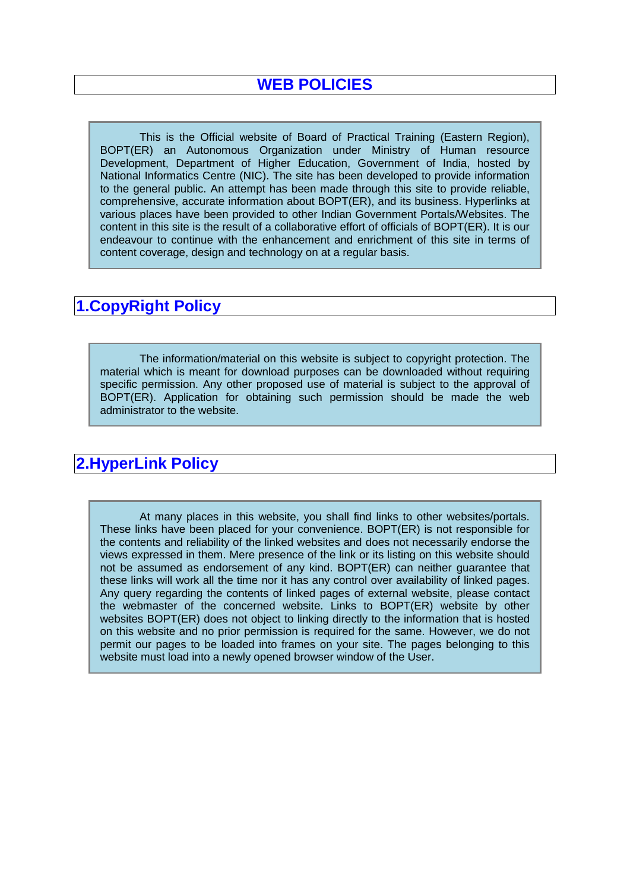This is the Official website of Board of Practical Training (Eastern Region), BOPT(ER) an Autonomous Organization under Ministry of Human resource Development, Department of Higher Education, Government of India, hosted by National Informatics Centre (NIC). The site has been developed to provide information to the general public. An attempt has been made through this site to provide reliable, comprehensive, accurate information about BOPT(ER), and its business. Hyperlinks at various places have been provided to other Indian Government Portals/Websites. The content in this site is the result of a collaborative effort of officials of BOPT(ER). It is our endeavour to continue with the enhancement and enrichment of this site in terms of content coverage, design and technology on at a regular basis.

### **1.CopyRight Policy**

The information/material on this website is subject to copyright protection. The material which is meant for download purposes can be downloaded without requiring specific permission. Any other proposed use of material is subject to the approval of BOPT(ER). Application for obtaining such permission should be made the web administrator to the website.

# **2.HyperLink Policy**

At many places in this website, you shall find links to other websites/portals. These links have been placed for your convenience. BOPT(ER) is not responsible for the contents and reliability of the linked websites and does not necessarily endorse the views expressed in them. Mere presence of the link or its listing on this website should not be assumed as endorsement of any kind. BOPT(ER) can neither guarantee that these links will work all the time nor it has any control over availability of linked pages. Any query regarding the contents of linked pages of external website, please contact the webmaster of the concerned website. Links to BOPT(ER) website by other websites BOPT(ER) does not object to linking directly to the information that is hosted on this website and no prior permission is required for the same. However, we do not permit our pages to be loaded into frames on your site. The pages belonging to this website must load into a newly opened browser window of the User.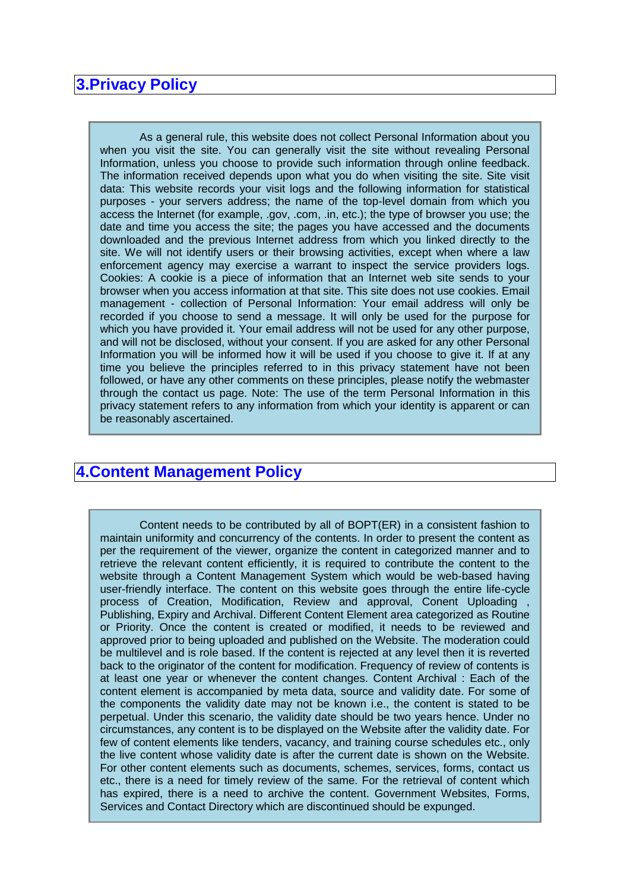#### **3.Privacy Policy**

As a general rule, this website does not collect Personal Information about you when you visit the site. You can generally visit the site without revealing Personal Information, unless you choose to provide such information through online feedback. The information received depends upon what you do when visiting the site. Site visit data: This website records your visit logs and the following information for statistical purposes - your servers address; the name of the top-level domain from which you access the Internet (for example, .gov, .com, .in, etc.); the type of browser you use; the date and time you access the site; the pages you have accessed and the documents downloaded and the previous Internet address from which you linked directly to the site. We will not identify users or their browsing activities, except when where a law enforcement agency may exercise a warrant to inspect the service providers logs. Cookies: A cookie is a piece of information that an Internet web site sends to your browser when you access information at that site. This site does not use cookies. Email management - collection of Personal Information: Your email address will only be recorded if you choose to send a message. It will only be used for the purpose for which you have provided it. Your email address will not be used for any other purpose, and will not be disclosed, without your consent. If you are asked for any other Personal Information you will be informed how it will be used if you choose to give it. If at any time you believe the principles referred to in this privacy statement have not been followed, or have any other comments on these principles, please notify the webmaster through the contact us page. Note: The use of the term Personal Information in this privacy statement refers to any information from which your identity is apparent or can be reasonably ascertained.

### **4.Content Management Policy**

Content needs to be contributed by all of BOPT(ER) in a consistent fashion to maintain uniformity and concurrency of the contents. In order to present the content as per the requirement of the viewer, organize the content in categorized manner and to retrieve the relevant content efficiently, it is required to contribute the content to the website through a Content Management System which would be web-based having user-friendly interface. The content on this website goes through the entire life-cycle process of Creation, Modification, Review and approval, Conent Uploading , Publishing, Expiry and Archival. Different Content Element area categorized as Routine or Priority. Once the content is created or modified, it needs to be reviewed and approved prior to being uploaded and published on the Website. The moderation could be multilevel and is role based. If the content is rejected at any level then it is reverted back to the originator of the content for modification. Frequency of review of contents is at least one year or whenever the content changes. Content Archival : Each of the content element is accompanied by meta data, source and validity date. For some of the components the validity date may not be known i.e., the content is stated to be perpetual. Under this scenario, the validity date should be two years hence. Under no circumstances, any content is to be displayed on the Website after the validity date. For few of content elements like tenders, vacancy, and training course schedules etc., only the live content whose validity date is after the current date is shown on the Website. For other content elements such as documents, schemes, services, forms, contact us etc., there is a need for timely review of the same. For the retrieval of content which has expired, there is a need to archive the content. Government Websites, Forms, Services and Contact Directory which are discontinued should be expunged.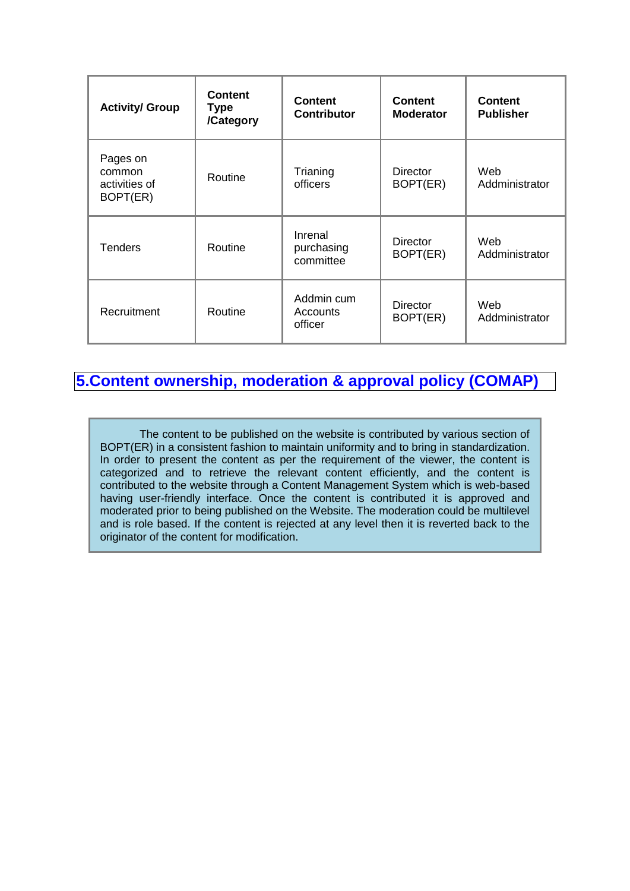| <b>Activity/ Group</b>                          | <b>Content</b><br>Type<br>/Category | <b>Content</b><br><b>Contributor</b> | <b>Content</b><br><b>Moderator</b> | <b>Content</b><br><b>Publisher</b> |
|-------------------------------------------------|-------------------------------------|--------------------------------------|------------------------------------|------------------------------------|
| Pages on<br>common<br>activities of<br>BOPT(ER) | Routine                             | Trianing<br>officers                 | Director<br>BOPT(ER)               | Web<br>Addministrator              |
| <b>Tenders</b>                                  | Routine                             | Inrenal<br>purchasing<br>committee   | Director<br>BOPT(ER)               | Web<br>Addministrator              |
| Recruitment                                     | Routine                             | Addmin cum<br>Accounts<br>officer    | Director<br>BOPT(ER)               | Web<br>Addministrator              |

### **5.Content ownership, moderation & approval policy (COMAP)**

The content to be published on the website is contributed by various section of BOPT(ER) in a consistent fashion to maintain uniformity and to bring in standardization. In order to present the content as per the requirement of the viewer, the content is categorized and to retrieve the relevant content efficiently, and the content is contributed to the website through a Content Management System which is web-based having user-friendly interface. Once the content is contributed it is approved and moderated prior to being published on the Website. The moderation could be multilevel and is role based. If the content is rejected at any level then it is reverted back to the originator of the content for modification.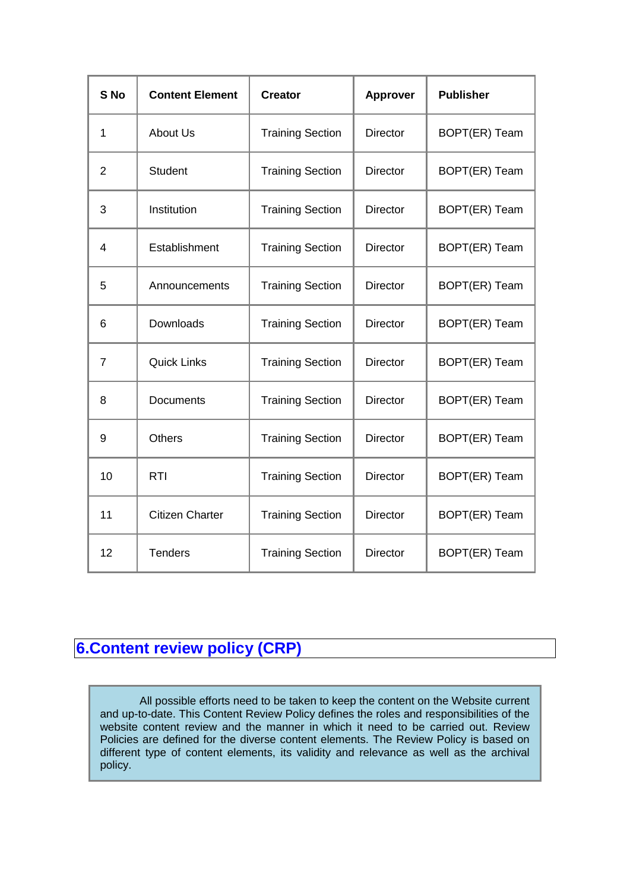| S <sub>No</sub> | <b>Content Element</b> | <b>Creator</b>          | Approver        | <b>Publisher</b> |
|-----------------|------------------------|-------------------------|-----------------|------------------|
| 1               | <b>About Us</b>        | <b>Training Section</b> | <b>Director</b> | BOPT(ER) Team    |
| $\overline{2}$  | <b>Student</b>         | <b>Training Section</b> | Director        | BOPT(ER) Team    |
| 3               | Institution            | <b>Training Section</b> | <b>Director</b> | BOPT(ER) Team    |
| 4               | Establishment          | <b>Training Section</b> | <b>Director</b> | BOPT(ER) Team    |
| 5               | Announcements          | <b>Training Section</b> | <b>Director</b> | BOPT(ER) Team    |
| 6               | Downloads              | <b>Training Section</b> | <b>Director</b> | BOPT(ER) Team    |
| $\overline{7}$  | <b>Quick Links</b>     | <b>Training Section</b> | <b>Director</b> | BOPT(ER) Team    |
| 8               | Documents              | <b>Training Section</b> | <b>Director</b> | BOPT(ER) Team    |
| 9               | <b>Others</b>          | <b>Training Section</b> | <b>Director</b> | BOPT(ER) Team    |
| 10              | <b>RTI</b>             | <b>Training Section</b> | <b>Director</b> | BOPT(ER) Team    |
| 11              | <b>Citizen Charter</b> | <b>Training Section</b> | <b>Director</b> | BOPT(ER) Team    |
| 12              | <b>Tenders</b>         | <b>Training Section</b> | <b>Director</b> | BOPT(ER) Team    |

# **6.Content review policy (CRP)**

All possible efforts need to be taken to keep the content on the Website current and up-to-date. This Content Review Policy defines the roles and responsibilities of the website content review and the manner in which it need to be carried out. Review Policies are defined for the diverse content elements. The Review Policy is based on different type of content elements, its validity and relevance as well as the archival policy.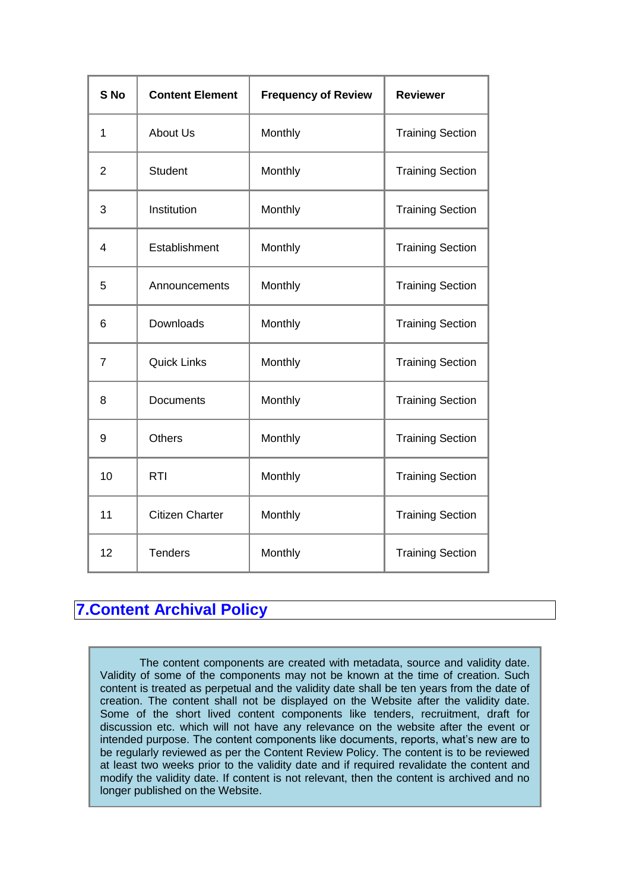| S <sub>No</sub> | <b>Content Element</b> | <b>Frequency of Review</b> | <b>Reviewer</b>         |
|-----------------|------------------------|----------------------------|-------------------------|
| 1               | About Us               | Monthly                    | <b>Training Section</b> |
| $\overline{2}$  | <b>Student</b>         | Monthly                    | <b>Training Section</b> |
| 3               | Institution            | Monthly                    | <b>Training Section</b> |
| 4               | Establishment          | Monthly                    | <b>Training Section</b> |
| 5               | Announcements          | Monthly                    | <b>Training Section</b> |
| 6               | Downloads              | Monthly                    | <b>Training Section</b> |
| $\overline{7}$  | <b>Quick Links</b>     | Monthly                    | <b>Training Section</b> |
| 8               | Documents              | Monthly                    | <b>Training Section</b> |
| 9               | <b>Others</b>          | Monthly                    | <b>Training Section</b> |
| 10              | <b>RTI</b>             | Monthly                    | <b>Training Section</b> |
| 11              | <b>Citizen Charter</b> | Monthly                    | <b>Training Section</b> |
| 12              | <b>Tenders</b>         | Monthly                    | <b>Training Section</b> |

# **7.Content Archival Policy**

The content components are created with metadata, source and validity date. Validity of some of the components may not be known at the time of creation. Such content is treated as perpetual and the validity date shall be ten years from the date of creation. The content shall not be displayed on the Website after the validity date. Some of the short lived content components like tenders, recruitment, draft for discussion etc. which will not have any relevance on the website after the event or intended purpose. The content components like documents, reports, what's new are to be regularly reviewed as per the Content Review Policy. The content is to be reviewed at least two weeks prior to the validity date and if required revalidate the content and modify the validity date. If content is not relevant, then the content is archived and no longer published on the Website.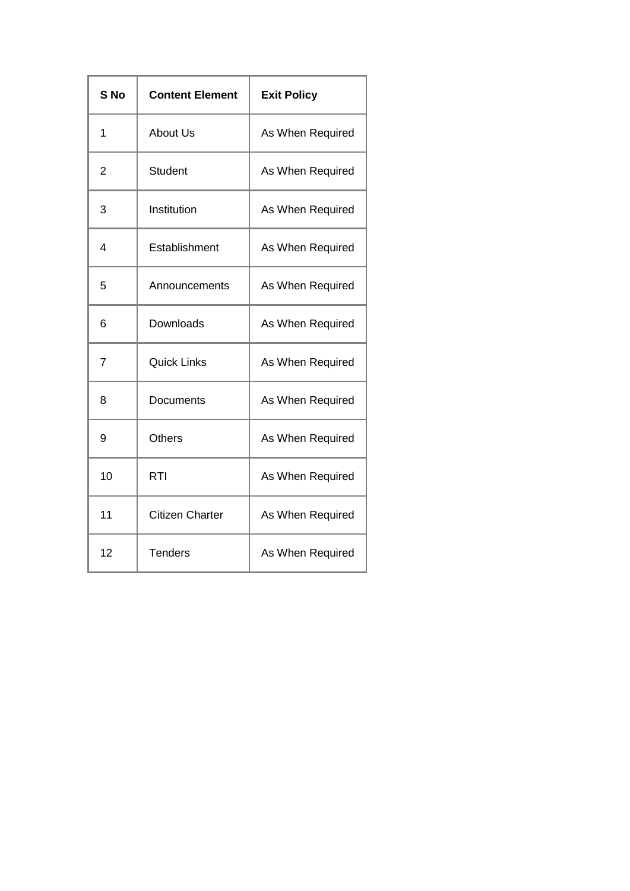| S <sub>No</sub> | <b>Content Element</b> | <b>Exit Policy</b> |  |
|-----------------|------------------------|--------------------|--|
| 1               | <b>About Us</b>        | As When Required   |  |
| 2               | Student                | As When Required   |  |
| 3               | Institution            | As When Required   |  |
| 4               | Establishment          | As When Required   |  |
| 5               | Announcements          | As When Required   |  |
| 6               | Downloads              | As When Required   |  |
| $\overline{7}$  | <b>Quick Links</b>     | As When Required   |  |
| 8               | Documents              | As When Required   |  |
| 9               | <b>Others</b>          | As When Required   |  |
| 10              | RTI                    | As When Required   |  |
| 11              | <b>Citizen Charter</b> | As When Required   |  |
| 12              | <b>Tenders</b>         | As When Required   |  |